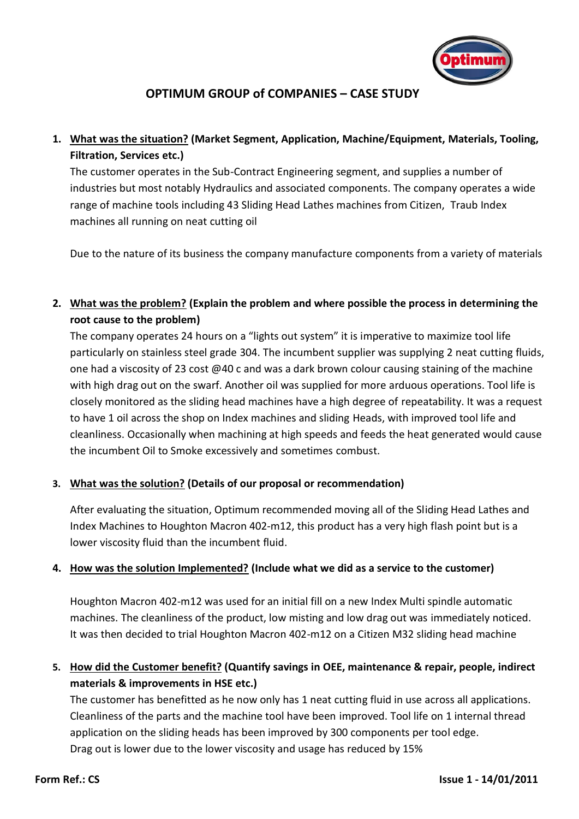

# **OPTIMUM GROUP of COMPANIES – CASE STUDY**

## **1. What was the situation? (Market Segment, Application, Machine/Equipment, Materials, Tooling, Filtration, Services etc.)**

The customer operates in the Sub-Contract Engineering segment, and supplies a number of industries but most notably Hydraulics and associated components. The company operates a wide range of machine tools including 43 Sliding Head Lathes machines from Citizen, Traub Index machines all running on neat cutting oil

Due to the nature of its business the company manufacture components from a variety of materials

### **2. What was the problem? (Explain the problem and where possible the process in determining the root cause to the problem)**

The company operates 24 hours on a "lights out system" it is imperative to maximize tool life particularly on stainless steel grade 304. The incumbent supplier was supplying 2 neat cutting fluids, one had a viscosity of 23 cost @40 c and was a dark brown colour causing staining of the machine with high drag out on the swarf. Another oil was supplied for more arduous operations. Tool life is closely monitored as the sliding head machines have a high degree of repeatability. It was a request to have 1 oil across the shop on Index machines and sliding Heads, with improved tool life and cleanliness. Occasionally when machining at high speeds and feeds the heat generated would cause the incumbent Oil to Smoke excessively and sometimes combust.

#### **3. What was the solution? (Details of our proposal or recommendation)**

After evaluating the situation, Optimum recommended moving all of the Sliding Head Lathes and Index Machines to Houghton Macron 402-m12, this product has a very high flash point but is a lower viscosity fluid than the incumbent fluid.

#### **4. How was the solution Implemented? (Include what we did as a service to the customer)**

Houghton Macron 402-m12 was used for an initial fill on a new Index Multi spindle automatic machines. The cleanliness of the product, low misting and low drag out was immediately noticed. It was then decided to trial Houghton Macron 402-m12 on a Citizen M32 sliding head machine

### **5. How did the Customer benefit? (Quantify savings in OEE, maintenance & repair, people, indirect materials & improvements in HSE etc.)**

The customer has benefitted as he now only has 1 neat cutting fluid in use across all applications. Cleanliness of the parts and the machine tool have been improved. Tool life on 1 internal thread application on the sliding heads has been improved by 300 components per tool edge. Drag out is lower due to the lower viscosity and usage has reduced by 15%